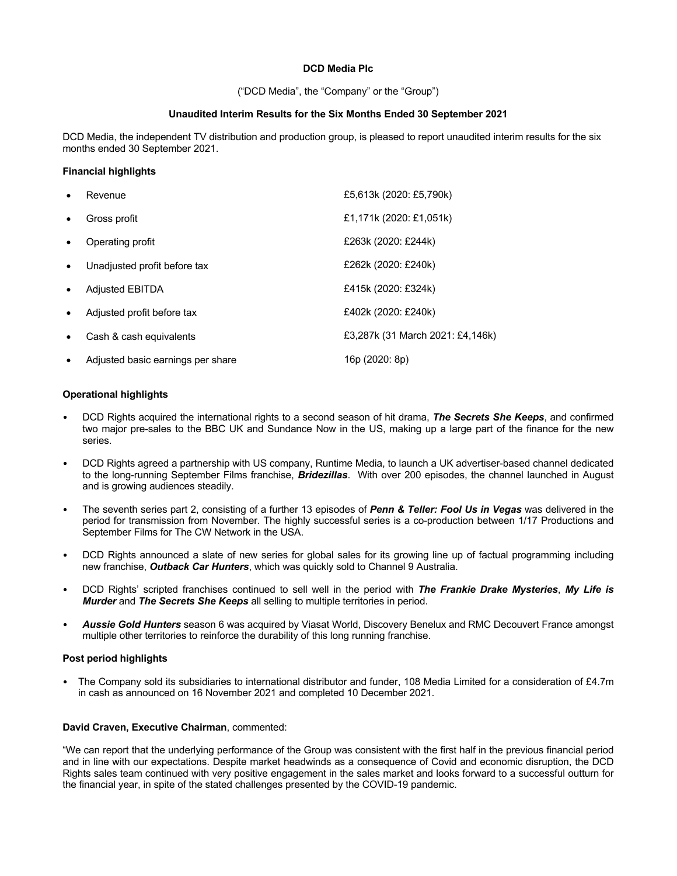## **DCD Media Plc**

("DCD Media", the "Company" or the "Group")

### **Unaudited Interim Results for the Six Months Ended 30 September 2021**

DCD Media, the independent TV distribution and production group, is pleased to report unaudited interim results for the six months ended 30 September 2021.

## **Financial highlights**

| $\bullet$ | Revenue                           | £5,613k (2020: £5,790k)          |
|-----------|-----------------------------------|----------------------------------|
| $\bullet$ | Gross profit                      | £1,171k (2020: £1,051k)          |
| $\bullet$ | Operating profit                  | £263k (2020: £244k)              |
| $\bullet$ | Unadjusted profit before tax      | £262k (2020: £240k)              |
| $\bullet$ | <b>Adjusted EBITDA</b>            | £415k (2020: £324k)              |
| $\bullet$ | Adjusted profit before tax        | £402k (2020: £240k)              |
| $\bullet$ | Cash & cash equivalents           | £3,287k (31 March 2021: £4,146k) |
| $\bullet$ | Adjusted basic earnings per share | 16p (2020: 8p)                   |

## **Operational highlights**

- DCD Rights acquired the international rights to a second season of hit drama, *The Secrets She Keeps*, and confirmed two major pre-sales to the BBC UK and Sundance Now in the US, making up a large part of the finance for the new series.
- DCD Rights agreed a partnership with US company, Runtime Media, to launch a UK advertiser-based channel dedicated to the long-running September Films franchise, *Bridezillas*. With over 200 episodes, the channel launched in August and is growing audiences steadily.
- The seventh series part 2, consisting of a further 13 episodes of *Penn & Teller: Fool Us in Vegas* was delivered in the period for transmission from November. The highly successful series is a co-production between 1/17 Productions and September Films for The CW Network in the USA.
- DCD Rights announced a slate of new series for global sales for its growing line up of factual programming including new franchise, *Outback Car Hunters*, which was quickly sold to Channel 9 Australia.
- DCD Rights' scripted franchises continued to sell well in the period with *The Frankie Drake Mysteries*, *My Life is Murder* and *The Secrets She Keeps* all selling to multiple territories in period.
- *Aussie Gold Hunters* season 6 was acquired by Viasat World, Discovery Benelux and RMC Decouvert France amongst multiple other territories to reinforce the durability of this long running franchise.

## **Post period highlights**

• The Company sold its subsidiaries to international distributor and funder, 108 Media Limited for a consideration of £4.7m in cash as announced on 16 November 2021 and completed 10 December 2021.

#### **David Craven, Executive Chairman**, commented:

"We can report that the underlying performance of the Group was consistent with the first half in the previous financial period and in line with our expectations. Despite market headwinds as a consequence of Covid and economic disruption, the DCD Rights sales team continued with very positive engagement in the sales market and looks forward to a successful outturn for the financial year, in spite of the stated challenges presented by the COVID-19 pandemic.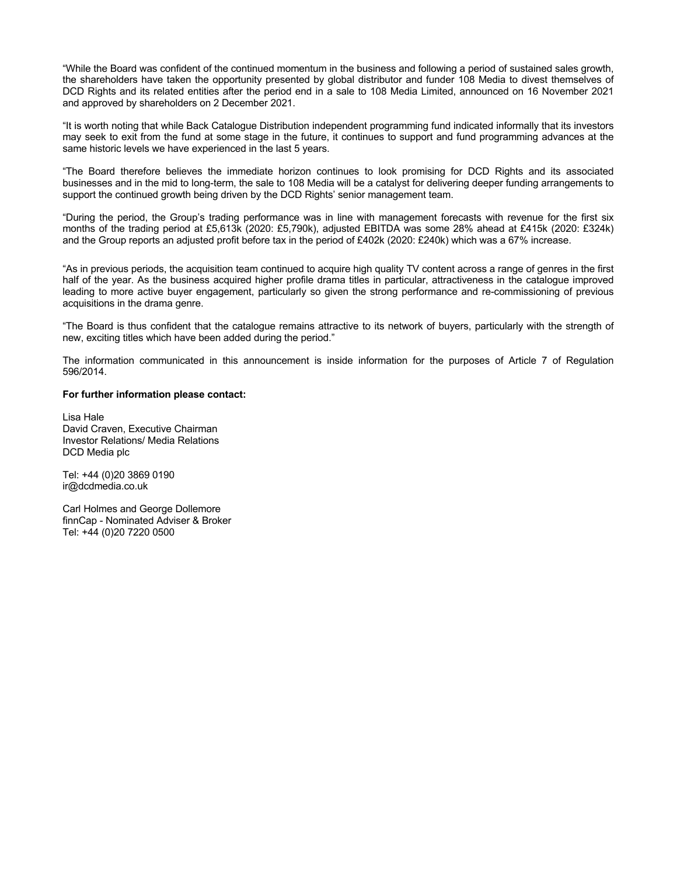"While the Board was confident of the continued momentum in the business and following a period of sustained sales growth, the shareholders have taken the opportunity presented by global distributor and funder 108 Media to divest themselves of DCD Rights and its related entities after the period end in a sale to 108 Media Limited, announced on 16 November 2021 and approved by shareholders on 2 December 2021.

"It is worth noting that while Back Catalogue Distribution independent programming fund indicated informally that its investors may seek to exit from the fund at some stage in the future, it continues to support and fund programming advances at the same historic levels we have experienced in the last 5 years.

"The Board therefore believes the immediate horizon continues to look promising for DCD Rights and its associated businesses and in the mid to long-term, the sale to 108 Media will be a catalyst for delivering deeper funding arrangements to support the continued growth being driven by the DCD Rights' senior management team.

"During the period, the Group's trading performance was in line with management forecasts with revenue for the first six months of the trading period at £5,613k (2020: £5,790k), adjusted EBITDA was some 28% ahead at £415k (2020: £324k) and the Group reports an adjusted profit before tax in the period of £402k (2020: £240k) which was a 67% increase.

"As in previous periods, the acquisition team continued to acquire high quality TV content across a range of genres in the first half of the year. As the business acquired higher profile drama titles in particular, attractiveness in the catalogue improved leading to more active buyer engagement, particularly so given the strong performance and re-commissioning of previous acquisitions in the drama genre.

"The Board is thus confident that the catalogue remains attractive to its network of buyers, particularly with the strength of new, exciting titles which have been added during the period."

The information communicated in this announcement is inside information for the purposes of Article 7 of Regulation 596/2014.

#### **For further information please contact:**

Lisa Hale David Craven, Executive Chairman Investor Relations/ Media Relations DCD Media plc

Tel: +44 (0)20 3869 0190 ir@dcdmedia.co.uk

Carl Holmes and George Dollemore finnCap - Nominated Adviser & Broker Tel: +44 (0)20 7220 0500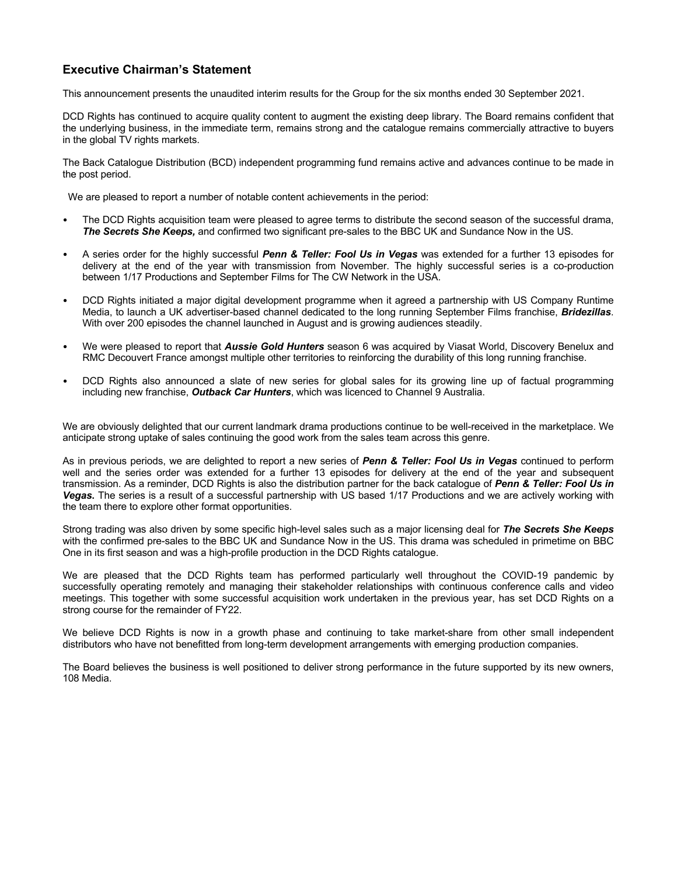# **Executive Chairman's Statement**

This announcement presents the unaudited interim results for the Group for the six months ended 30 September 2021.

DCD Rights has continued to acquire quality content to augment the existing deep library. The Board remains confident that the underlying business, in the immediate term, remains strong and the catalogue remains commercially attractive to buyers in the global TV rights markets.

The Back Catalogue Distribution (BCD) independent programming fund remains active and advances continue to be made in the post period.

We are pleased to report a number of notable content achievements in the period:

- The DCD Rights acquisition team were pleased to agree terms to distribute the second season of the successful drama, *The Secrets She Keeps,* and confirmed two significant pre-sales to the BBC UK and Sundance Now in the US.
- A series order for the highly successful *Penn & Teller: Fool Us in Vegas* was extended for a further 13 episodes for delivery at the end of the year with transmission from November. The highly successful series is a co-production between 1/17 Productions and September Films for The CW Network in the USA.
- DCD Rights initiated a major digital development programme when it agreed a partnership with US Company Runtime Media, to launch a UK advertiser-based channel dedicated to the long running September Films franchise, *Bridezillas*. With over 200 episodes the channel launched in August and is growing audiences steadily.
- We were pleased to report that *Aussie Gold Hunters* season 6 was acquired by Viasat World, Discovery Benelux and RMC Decouvert France amongst multiple other territories to reinforcing the durability of this long running franchise.
- DCD Rights also announced a slate of new series for global sales for its growing line up of factual programming including new franchise, *Outback Car Hunters*, which was licenced to Channel 9 Australia.

We are obviously delighted that our current landmark drama productions continue to be well-received in the marketplace. We anticipate strong uptake of sales continuing the good work from the sales team across this genre.

As in previous periods, we are delighted to report a new series of *Penn & Teller: Fool Us in Vegas* continued to perform well and the series order was extended for a further 13 episodes for delivery at the end of the year and subsequent transmission. As a reminder, DCD Rights is also the distribution partner for the back catalogue of *Penn & Teller: Fool Us in Vegas***.** The series is a result of a successful partnership with US based 1/17 Productions and we are actively working with the team there to explore other format opportunities.

Strong trading was also driven by some specific high-level sales such as a major licensing deal for *The Secrets She Keeps* with the confirmed pre-sales to the BBC UK and Sundance Now in the US. This drama was scheduled in primetime on BBC One in its first season and was a high-profile production in the DCD Rights catalogue.

We are pleased that the DCD Rights team has performed particularly well throughout the COVID-19 pandemic by successfully operating remotely and managing their stakeholder relationships with continuous conference calls and video meetings. This together with some successful acquisition work undertaken in the previous year, has set DCD Rights on a strong course for the remainder of FY22.

We believe DCD Rights is now in a growth phase and continuing to take market-share from other small independent distributors who have not benefitted from long-term development arrangements with emerging production companies.

The Board believes the business is well positioned to deliver strong performance in the future supported by its new owners, 108 Media.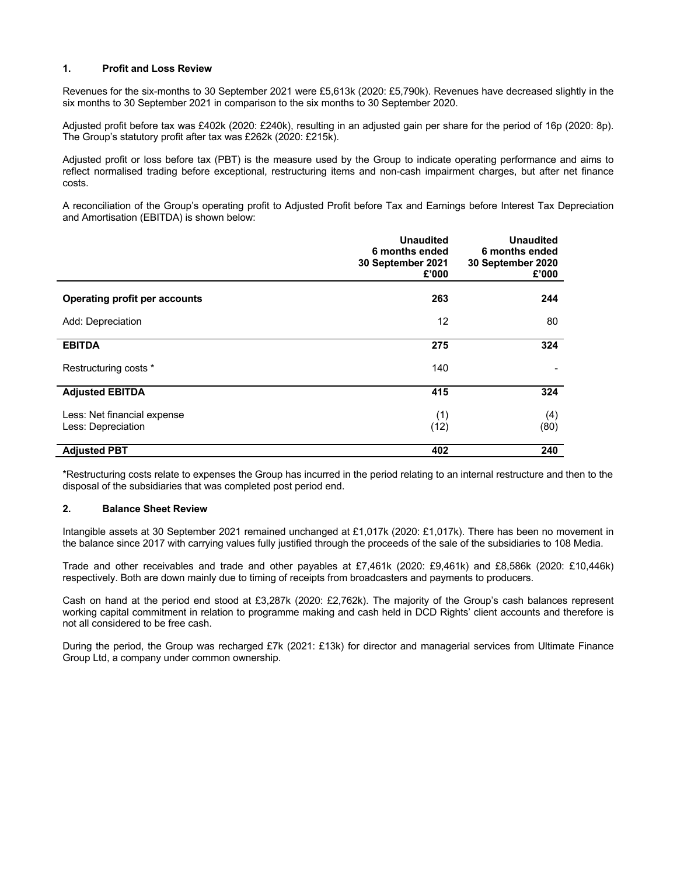## **1. Profit and Loss Review**

Revenues for the six-months to 30 September 2021 were £5,613k (2020: £5,790k). Revenues have decreased slightly in the six months to 30 September 2021 in comparison to the six months to 30 September 2020.

Adjusted profit before tax was £402k (2020: £240k), resulting in an adjusted gain per share for the period of 16p (2020: 8p). The Group's statutory profit after tax was £262k (2020: £215k).

Adjusted profit or loss before tax (PBT) is the measure used by the Group to indicate operating performance and aims to reflect normalised trading before exceptional, restructuring items and non-cash impairment charges, but after net finance costs.

A reconciliation of the Group's operating profit to Adjusted Profit before Tax and Earnings before Interest Tax Depreciation and Amortisation (EBITDA) is shown below:

|                                                   | <b>Unaudited</b><br>6 months ended<br>30 September 2021<br>£'000 | <b>Unaudited</b><br>6 months ended<br>30 September 2020<br>£'000 |
|---------------------------------------------------|------------------------------------------------------------------|------------------------------------------------------------------|
| <b>Operating profit per accounts</b>              | 263                                                              | 244                                                              |
| Add: Depreciation                                 | 12                                                               | 80                                                               |
| <b>EBITDA</b>                                     | 275                                                              | 324                                                              |
| Restructuring costs *                             | 140                                                              |                                                                  |
| <b>Adjusted EBITDA</b>                            | 415                                                              | 324                                                              |
| Less: Net financial expense<br>Less: Depreciation | (1)<br>(12)                                                      | (4)<br>(80)                                                      |
| <b>Adjusted PBT</b>                               | 402                                                              | 240                                                              |

\*Restructuring costs relate to expenses the Group has incurred in the period relating to an internal restructure and then to the disposal of the subsidiaries that was completed post period end.

#### **2. Balance Sheet Review**

Intangible assets at 30 September 2021 remained unchanged at £1,017k (2020: £1,017k). There has been no movement in the balance since 2017 with carrying values fully justified through the proceeds of the sale of the subsidiaries to 108 Media.

Trade and other receivables and trade and other payables at £7,461k (2020: £9,461k) and £8,586k (2020: £10,446k) respectively. Both are down mainly due to timing of receipts from broadcasters and payments to producers.

Cash on hand at the period end stood at £3,287k (2020: £2,762k). The majority of the Group's cash balances represent working capital commitment in relation to programme making and cash held in DCD Rights' client accounts and therefore is not all considered to be free cash.

During the period, the Group was recharged £7k (2021: £13k) for director and managerial services from Ultimate Finance Group Ltd, a company under common ownership.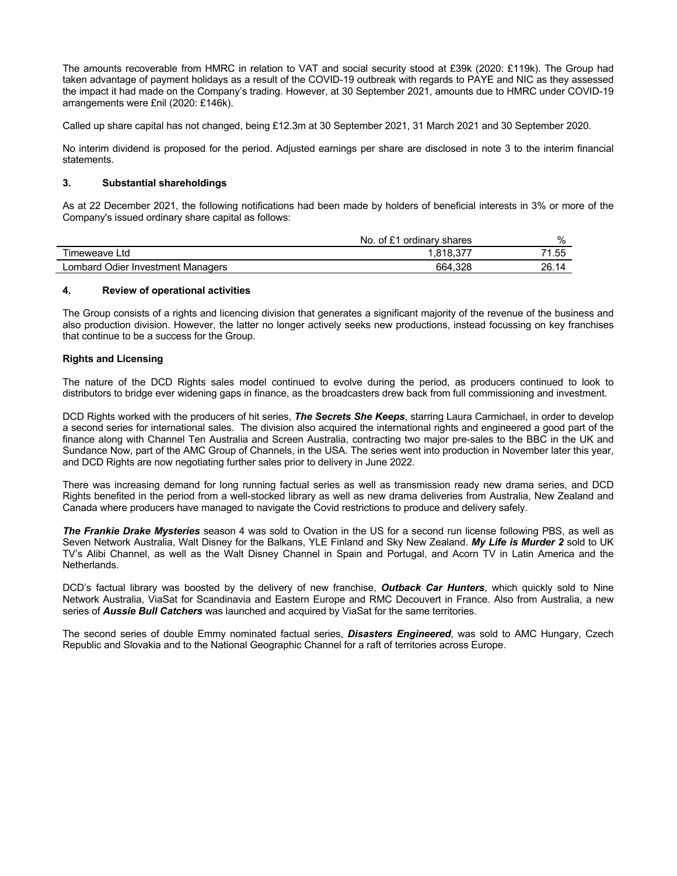The amounts recoverable from HMRC in relation to VAT and social security stood at £39k (2020: £119k). The Group had taken advantage of payment holidays as a result of the COVID-19 outbreak with regards to PAYE and NIC as they assessed the impact it had made on the Company's trading. However, at 30 September 2021, amounts due to HMRC under COVID-19 arrangements were £nil (2020: £146k).

Called up share capital has not changed, being £12.3m at 30 September 2021, 31 March 2021 and 30 September 2020.

No interim dividend is proposed for the period. Adjusted earnings per share are disclosed in note 3 to the interim financial statements.

## **3. Substantial shareholdings**

As at 22 December 2021, the following notifications had been made by holders of beneficial interests in 3% or more of the Company's issued ordinary share capital as follows:

|                                           | No.<br>. $\mathsf{u}$ of $\mathsf{f}^{\mathsf{a} \mathsf{a}}$<br>ordinary<br><sup>'</sup> shares | $\%$  |
|-------------------------------------------|--------------------------------------------------------------------------------------------------|-------|
| Fimeweave Ltd                             | 818.                                                                                             | 71.55 |
| Odier<br>Lombard<br>∶ Investment Manaɑers | 664.328                                                                                          | 26.14 |

#### **4. Review of operational activities**

The Group consists of a rights and licencing division that generates a significant majority of the revenue of the business and also production division. However, the latter no longer actively seeks new productions, instead focussing on key franchises that continue to be a success for the Group.

### **Rights and Licensing**

The nature of the DCD Rights sales model continued to evolve during the period, as producers continued to look to distributors to bridge ever widening gaps in finance, as the broadcasters drew back from full commissioning and investment.

DCD Rights worked with the producers of hit series, *The Secrets She Keeps*, starring Laura Carmichael, in order to develop a second series for international sales. The division also acquired the international rights and engineered a good part of the finance along with Channel Ten Australia and Screen Australia, contracting two major pre-sales to the BBC in the UK and Sundance Now, part of the AMC Group of Channels, in the USA. The series went into production in November later this year, and DCD Rights are now negotiating further sales prior to delivery in June 2022.

There was increasing demand for long running factual series as well as transmission ready new drama series, and DCD Rights benefited in the period from a well-stocked library as well as new drama deliveries from Australia, New Zealand and Canada where producers have managed to navigate the Covid restrictions to produce and delivery safely.

*The Frankie Drake Mysteries* season 4 was sold to Ovation in the US for a second run license following PBS, as well as Seven Network Australia, Walt Disney for the Balkans, YLE Finland and Sky New Zealand. *My Life is Murder 2* sold to UK TV's Alibi Channel, as well as the Walt Disney Channel in Spain and Portugal, and Acorn TV in Latin America and the Netherlands.

DCD's factual library was boosted by the delivery of new franchise, *Outback Car Hunters*, which quickly sold to Nine Network Australia, ViaSat for Scandinavia and Eastern Europe and RMC Decouvert in France. Also from Australia, a new series of *Aussie Bull Catchers* was launched and acquired by ViaSat for the same territories.

The second series of double Emmy nominated factual series, *Disasters Engineered*, was sold to AMC Hungary, Czech Republic and Slovakia and to the National Geographic Channel for a raft of territories across Europe.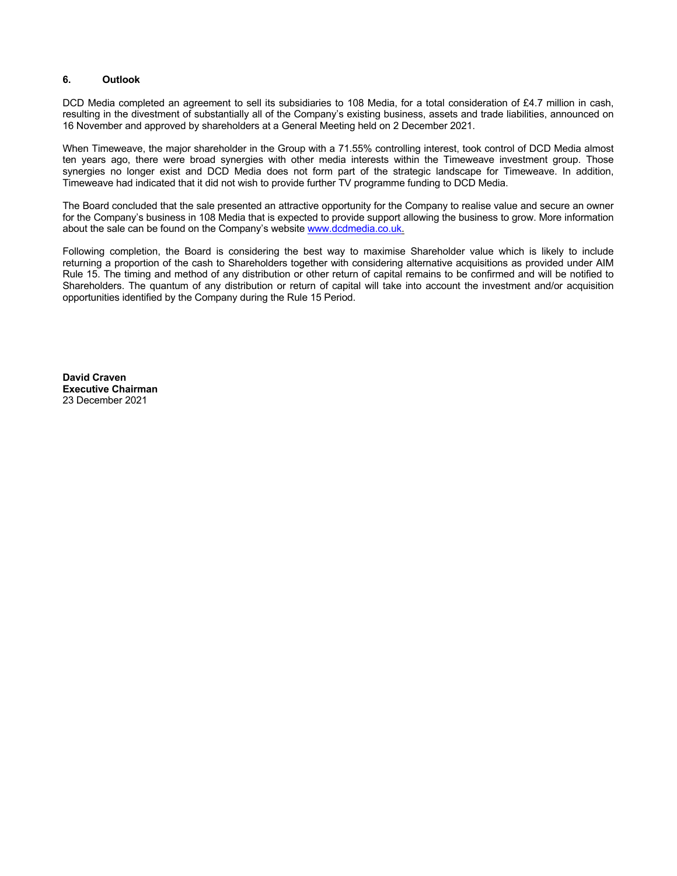## **6. Outlook**

DCD Media completed an agreement to sell its subsidiaries to 108 Media, for a total consideration of £4.7 million in cash, resulting in the divestment of substantially all of the Company's existing business, assets and trade liabilities, announced on 16 November and approved by shareholders at a General Meeting held on 2 December 2021.

When Timeweave, the major shareholder in the Group with a 71.55% controlling interest, took control of DCD Media almost ten years ago, there were broad synergies with other media interests within the Timeweave investment group. Those synergies no longer exist and DCD Media does not form part of the strategic landscape for Timeweave. In addition, Timeweave had indicated that it did not wish to provide further TV programme funding to DCD Media.

The Board concluded that the sale presented an attractive opportunity for the Company to realise value and secure an owner for the Company's business in 108 Media that is expected to provide support allowing the business to grow. More information about the sale can be found on the Company's website www.dcdmedia.co.uk.

Following completion, the Board is considering the best way to maximise Shareholder value which is likely to include returning a proportion of the cash to Shareholders together with considering alternative acquisitions as provided under AIM Rule 15. The timing and method of any distribution or other return of capital remains to be confirmed and will be notified to Shareholders. The quantum of any distribution or return of capital will take into account the investment and/or acquisition opportunities identified by the Company during the Rule 15 Period.

**David Craven Executive Chairman**  23 December 2021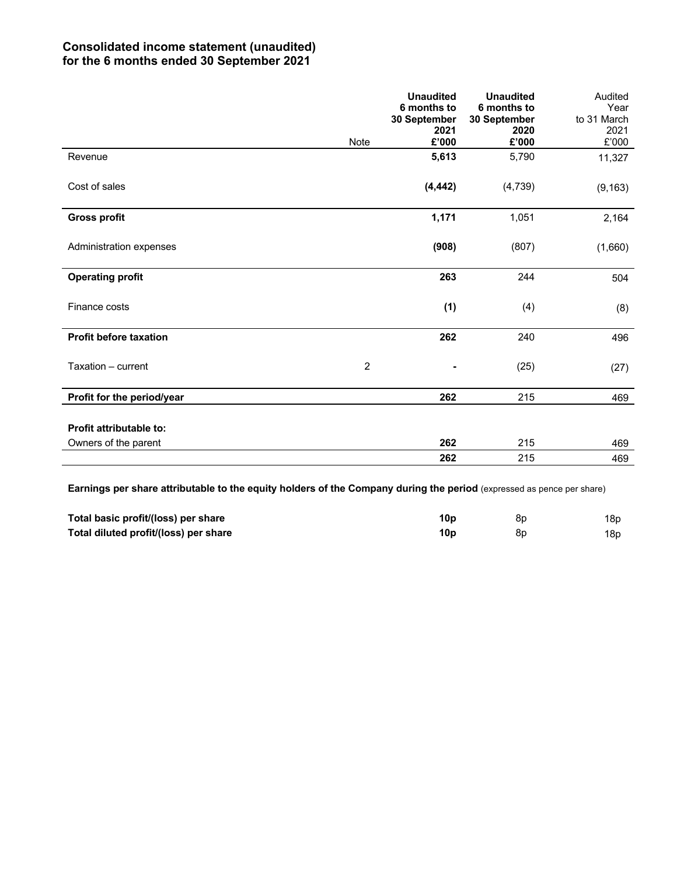# **Consolidated income statement (unaudited) for the 6 months ended 30 September 2021**

|                                | <b>Note</b>    | <b>Unaudited</b><br>6 months to<br>30 September<br>2021<br>£'000 | <b>Unaudited</b><br>6 months to<br>30 September<br>2020<br>£'000 | Audited<br>Year<br>to 31 March<br>2021<br>$£'000$ |
|--------------------------------|----------------|------------------------------------------------------------------|------------------------------------------------------------------|---------------------------------------------------|
| Revenue                        |                | 5,613                                                            | 5,790                                                            | 11,327                                            |
| Cost of sales                  |                | (4, 442)                                                         | (4,739)                                                          | (9, 163)                                          |
| <b>Gross profit</b>            |                | 1,171                                                            | 1,051                                                            | 2,164                                             |
| Administration expenses        |                | (908)                                                            | (807)                                                            | (1,660)                                           |
| <b>Operating profit</b>        |                | 263                                                              | 244                                                              | 504                                               |
| Finance costs                  |                | (1)                                                              | (4)                                                              | (8)                                               |
| <b>Profit before taxation</b>  |                | 262                                                              | 240                                                              | 496                                               |
| Taxation - current             | $\overline{2}$ |                                                                  | (25)                                                             | (27)                                              |
| Profit for the period/year     |                | 262                                                              | 215                                                              | 469                                               |
| <b>Profit attributable to:</b> |                |                                                                  |                                                                  |                                                   |
| Owners of the parent           |                | 262                                                              | 215                                                              | 469                                               |
|                                |                | 262                                                              | 215                                                              | 469                                               |

**Earnings per share attributable to the equity holders of the Company during the period (expressed as pence per share)** 

| Total basic profit/(loss) per share   | 10 <sub>p</sub> | 8p | 18p. |
|---------------------------------------|-----------------|----|------|
| Total diluted profit/(loss) per share | 10 <sub>p</sub> | 8p | 18p. |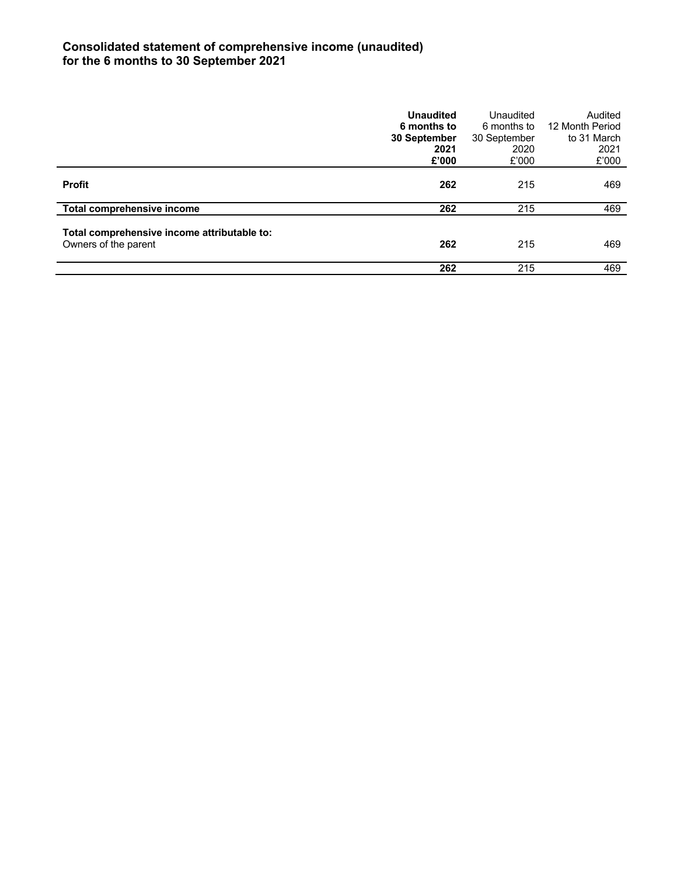# **Consolidated statement of comprehensive income (unaudited) for the 6 months to 30 September 2021**

|                                                                     | <b>Unaudited</b><br>6 months to<br>30 September<br>2021<br>£'000 | Unaudited<br>6 months to<br>30 September<br>2020<br>£'000 | Audited<br>12 Month Period<br>to 31 March<br>2021<br>£'000 |
|---------------------------------------------------------------------|------------------------------------------------------------------|-----------------------------------------------------------|------------------------------------------------------------|
| <b>Profit</b>                                                       | 262                                                              | 215                                                       | 469                                                        |
| Total comprehensive income                                          | 262                                                              | 215                                                       | 469                                                        |
| Total comprehensive income attributable to:<br>Owners of the parent | 262                                                              | 215                                                       | 469                                                        |
|                                                                     | 262                                                              | 215                                                       | 469                                                        |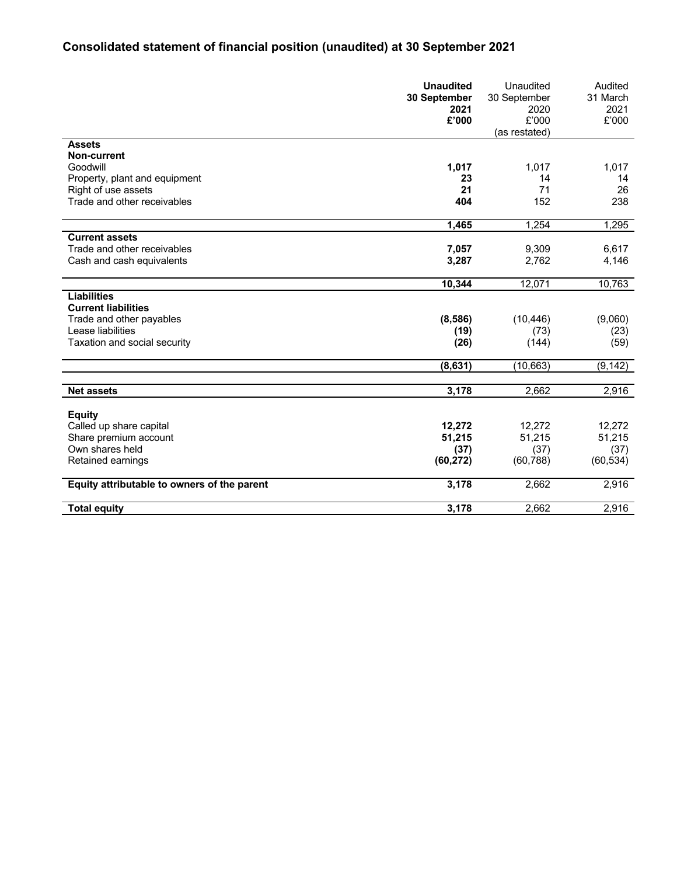# **Consolidated statement of financial position (unaudited) at 30 September 2021**

|                                             | <b>Unaudited</b><br>30 September<br>2021<br>£'000 | Unaudited<br>30 September<br>2020<br>£'000 | Audited<br>31 March<br>2021<br>£'000 |
|---------------------------------------------|---------------------------------------------------|--------------------------------------------|--------------------------------------|
|                                             |                                                   | (as restated)                              |                                      |
| <b>Assets</b>                               |                                                   |                                            |                                      |
| <b>Non-current</b>                          |                                                   |                                            |                                      |
| Goodwill                                    | 1,017                                             | 1,017                                      | 1,017                                |
| Property, plant and equipment               | 23                                                | 14                                         | 14                                   |
| Right of use assets                         | 21                                                | 71                                         | 26                                   |
| Trade and other receivables                 | 404                                               | 152                                        | 238                                  |
|                                             | 1,465                                             | 1,254                                      | 1,295                                |
| <b>Current assets</b>                       |                                                   |                                            |                                      |
| Trade and other receivables                 | 7,057                                             | 9,309                                      | 6,617                                |
| Cash and cash equivalents                   | 3,287                                             | 2,762                                      | 4,146                                |
|                                             | 10,344                                            | 12,071                                     | 10,763                               |
| <b>Liabilities</b>                          |                                                   |                                            |                                      |
| <b>Current liabilities</b>                  |                                                   |                                            |                                      |
| Trade and other payables                    | (8,586)                                           | (10, 446)                                  | (9,060)                              |
| Lease liabilities                           | (19)                                              | (73)                                       | (23)                                 |
| Taxation and social security                | (26)                                              | (144)                                      | (59)                                 |
|                                             | (8,631)                                           | (10, 663)                                  | (9, 142)                             |
|                                             |                                                   |                                            |                                      |
| <b>Net assets</b>                           | 3,178                                             | 2,662                                      | 2,916                                |
| <b>Equity</b>                               |                                                   |                                            |                                      |
| Called up share capital                     | 12,272                                            | 12,272                                     | 12,272                               |
| Share premium account                       | 51,215                                            | 51,215                                     | 51,215                               |
| Own shares held                             | (37)                                              | (37)                                       | (37)                                 |
| Retained earnings                           | (60, 272)                                         | (60, 788)                                  | (60, 534)                            |
| Equity attributable to owners of the parent | 3,178                                             | 2,662                                      | 2,916                                |
| <b>Total equity</b>                         | 3,178                                             | 2,662                                      | 2,916                                |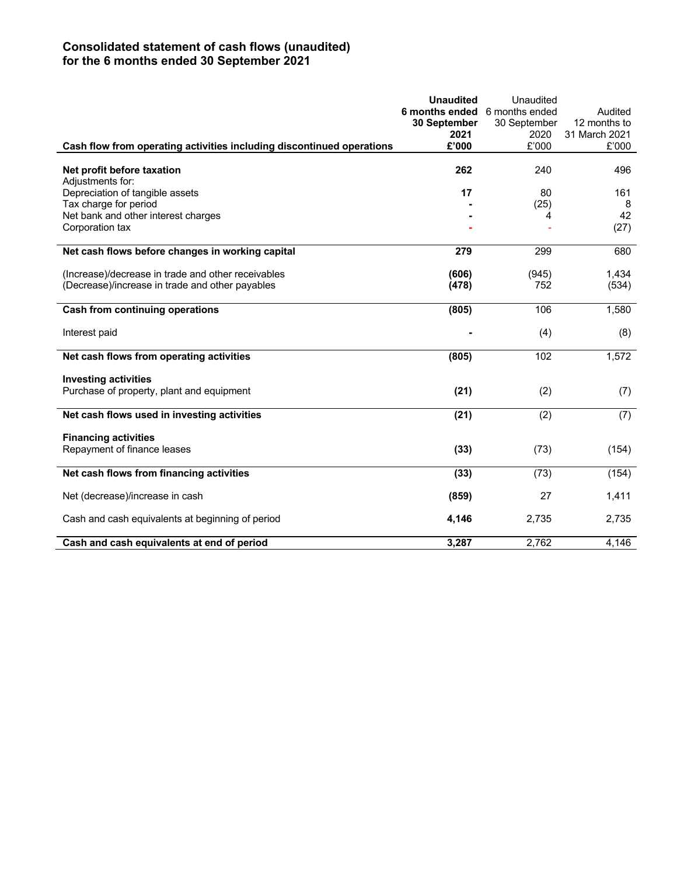# **Consolidated statement of cash flows (unaudited) for the 6 months ended 30 September 2021**

|                                                                       | <b>Unaudited</b><br>6 months ended<br>30 September | Unaudited<br>6 months ended<br>30 September | Audited<br>12 months to |
|-----------------------------------------------------------------------|----------------------------------------------------|---------------------------------------------|-------------------------|
|                                                                       | 2021                                               | 2020                                        | 31 March 2021           |
| Cash flow from operating activities including discontinued operations | £'000                                              | £'000                                       | £'000                   |
| Net profit before taxation<br>Adjustments for:                        | 262                                                | 240                                         | 496                     |
| Depreciation of tangible assets                                       | 17                                                 | 80                                          | 161                     |
| Tax charge for period                                                 |                                                    | (25)                                        | 8                       |
| Net bank and other interest charges                                   |                                                    | 4                                           | 42                      |
| Corporation tax                                                       |                                                    |                                             | (27)                    |
| Net cash flows before changes in working capital                      | 279                                                | 299                                         | 680                     |
| (Increase)/decrease in trade and other receivables                    | (606)                                              | (945)                                       | 1,434                   |
| (Decrease)/increase in trade and other payables                       | (478)                                              | 752                                         | (534)                   |
| <b>Cash from continuing operations</b>                                | (805)                                              | 106                                         | 1,580                   |
| Interest paid                                                         |                                                    | (4)                                         | (8)                     |
| Net cash flows from operating activities                              | (805)                                              | 102                                         | 1,572                   |
| <b>Investing activities</b>                                           |                                                    |                                             |                         |
| Purchase of property, plant and equipment                             | (21)                                               | (2)                                         | (7)                     |
| Net cash flows used in investing activities                           | (21)                                               | (2)                                         | (7)                     |
| <b>Financing activities</b>                                           |                                                    |                                             |                         |
| Repayment of finance leases                                           | (33)                                               | (73)                                        | (154)                   |
| Net cash flows from financing activities                              | (33)                                               | (73)                                        | (154)                   |
| Net (decrease)/increase in cash                                       | (859)                                              | 27                                          | 1,411                   |
| Cash and cash equivalents at beginning of period                      | 4,146                                              | 2,735                                       | 2,735                   |
| Cash and cash equivalents at end of period                            | 3,287                                              | 2,762                                       | 4,146                   |
|                                                                       |                                                    |                                             |                         |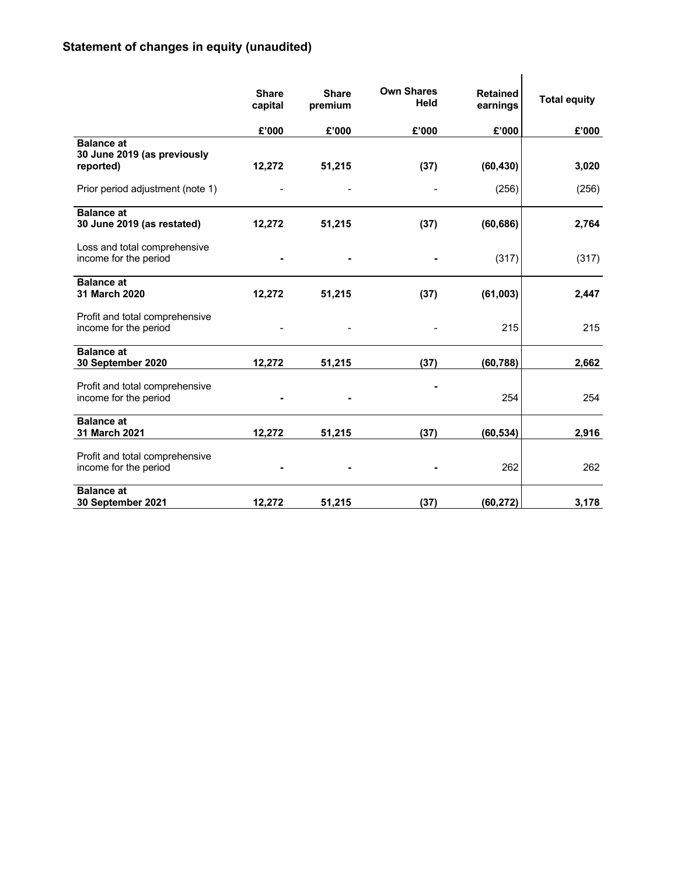# **Statement of changes in equity (unaudited)**

|                                                               | <b>Share</b><br>capital | <b>Share</b><br>premium | <b>Own Shares</b><br>Held | <b>Retained</b><br>earnings | <b>Total equity</b> |
|---------------------------------------------------------------|-------------------------|-------------------------|---------------------------|-----------------------------|---------------------|
|                                                               | £'000                   | £'000                   | £'000                     | £'000                       | £'000               |
| <b>Balance at</b><br>30 June 2019 (as previously<br>reported) | 12,272                  | 51,215                  | (37)                      | (60, 430)                   | 3,020               |
| Prior period adjustment (note 1)                              |                         |                         |                           | (256)                       | (256)               |
| <b>Balance at</b><br>30 June 2019 (as restated)               | 12,272                  | 51,215                  | (37)                      | (60, 686)                   | 2,764               |
| Loss and total comprehensive<br>income for the period         |                         |                         |                           | (317)                       | (317)               |
| <b>Balance at</b><br>31 March 2020                            | 12,272                  | 51,215                  | (37)                      | (61,003)                    | 2,447               |
| Profit and total comprehensive<br>income for the period       |                         |                         |                           | 215                         | 215                 |
| <b>Balance at</b><br>30 September 2020                        | 12,272                  | 51,215                  | (37)                      | (60, 788)                   | 2,662               |
| Profit and total comprehensive<br>income for the period       |                         |                         |                           | 254                         | 254                 |
| <b>Balance at</b><br>31 March 2021                            | 12,272                  | 51,215                  | (37)                      | (60, 534)                   | 2,916               |
| Profit and total comprehensive<br>income for the period       |                         |                         |                           | 262                         | 262                 |
| <b>Balance at</b><br>30 September 2021                        | 12,272                  | 51,215                  | (37)                      | (60, 272)                   | 3,178               |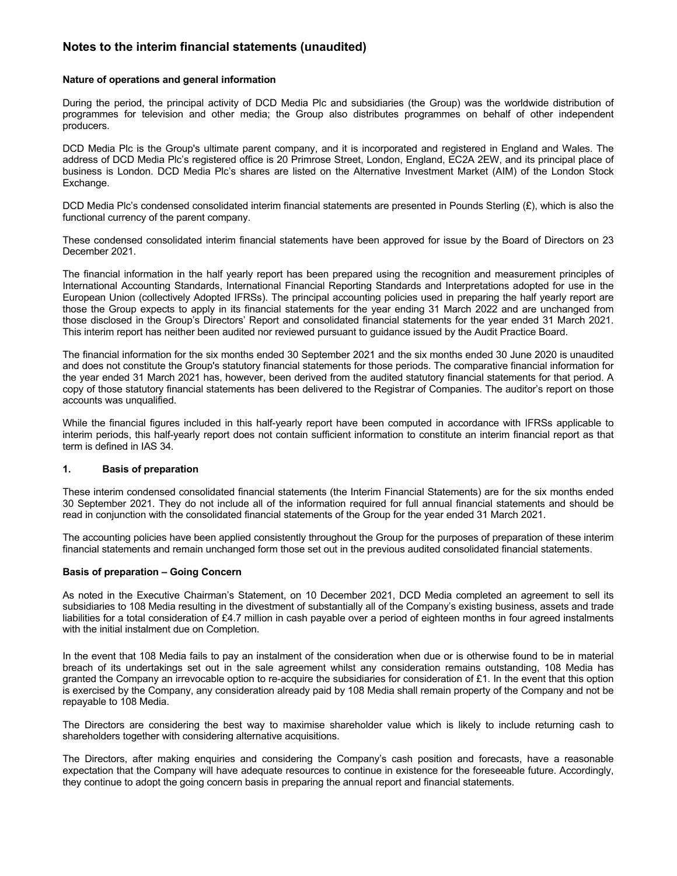# **Notes to the interim financial statements (unaudited)**

## **Nature of operations and general information**

During the period, the principal activity of DCD Media Plc and subsidiaries (the Group) was the worldwide distribution of programmes for television and other media; the Group also distributes programmes on behalf of other independent producers.

DCD Media Plc is the Group's ultimate parent company, and it is incorporated and registered in England and Wales. The address of DCD Media Plc's registered office is 20 Primrose Street, London, England, EC2A 2EW, and its principal place of business is London. DCD Media Plc's shares are listed on the Alternative Investment Market (AIM) of the London Stock Exchange.

DCD Media Plc's condensed consolidated interim financial statements are presented in Pounds Sterling (£), which is also the functional currency of the parent company.

These condensed consolidated interim financial statements have been approved for issue by the Board of Directors on 23 December 2021.

The financial information in the half yearly report has been prepared using the recognition and measurement principles of International Accounting Standards, International Financial Reporting Standards and Interpretations adopted for use in the European Union (collectively Adopted IFRSs). The principal accounting policies used in preparing the half yearly report are those the Group expects to apply in its financial statements for the year ending 31 March 2022 and are unchanged from those disclosed in the Group's Directors' Report and consolidated financial statements for the year ended 31 March 2021. This interim report has neither been audited nor reviewed pursuant to guidance issued by the Audit Practice Board.

The financial information for the six months ended 30 September 2021 and the six months ended 30 June 2020 is unaudited and does not constitute the Group's statutory financial statements for those periods. The comparative financial information for the year ended 31 March 2021 has, however, been derived from the audited statutory financial statements for that period. A copy of those statutory financial statements has been delivered to the Registrar of Companies. The auditor's report on those accounts was unqualified.

While the financial figures included in this half-yearly report have been computed in accordance with IFRSs applicable to interim periods, this half-yearly report does not contain sufficient information to constitute an interim financial report as that term is defined in IAS 34.

#### **1. Basis of preparation**

These interim condensed consolidated financial statements (the Interim Financial Statements) are for the six months ended 30 September 2021. They do not include all of the information required for full annual financial statements and should be read in conjunction with the consolidated financial statements of the Group for the year ended 31 March 2021.

The accounting policies have been applied consistently throughout the Group for the purposes of preparation of these interim financial statements and remain unchanged form those set out in the previous audited consolidated financial statements.

## **Basis of preparation – Going Concern**

As noted in the Executive Chairman's Statement, on 10 December 2021, DCD Media completed an agreement to sell its subsidiaries to 108 Media resulting in the divestment of substantially all of the Company's existing business, assets and trade liabilities for a total consideration of £4.7 million in cash payable over a period of eighteen months in four agreed instalments with the initial instalment due on Completion.

In the event that 108 Media fails to pay an instalment of the consideration when due or is otherwise found to be in material breach of its undertakings set out in the sale agreement whilst any consideration remains outstanding, 108 Media has granted the Company an irrevocable option to re-acquire the subsidiaries for consideration of £1. In the event that this option is exercised by the Company, any consideration already paid by 108 Media shall remain property of the Company and not be repayable to 108 Media.

The Directors are considering the best way to maximise shareholder value which is likely to include returning cash to shareholders together with considering alternative acquisitions.

The Directors, after making enquiries and considering the Company's cash position and forecasts, have a reasonable expectation that the Company will have adequate resources to continue in existence for the foreseeable future. Accordingly, they continue to adopt the going concern basis in preparing the annual report and financial statements.